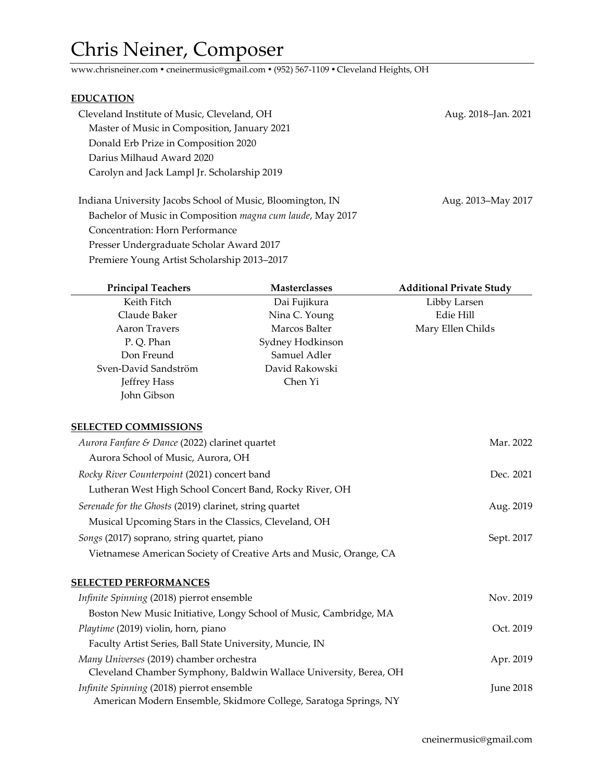## Chris Neiner, Composer

www.chrisneiner.com ● cneinermusic@gmail.com ● (952) 567-1109 ● Cleveland Heights, OH

## **EDUCATION**

| Cleveland Institute of Music, Cleveland, OH                | Aug. 2018-Jan. 2021 |
|------------------------------------------------------------|---------------------|
| Master of Music in Composition, January 2021               |                     |
| Donald Erb Prize in Composition 2020                       |                     |
| Darius Milhaud Award 2020                                  |                     |
| Carolyn and Jack Lampl Jr. Scholarship 2019                |                     |
|                                                            |                     |
| Indiana University Jacobs School of Music, Bloomington, IN | Aug. 2013–May 2017  |

Bachelor of Music in Composition *magna cum laude*, May 2017 Concentration: Horn Performance Presser Undergraduate Scholar Award 2017 Premiere Young Artist Scholarship 2013–2017

| <b>Principal Teachers</b>                                | <b>Masterclasses</b>                                               | <b>Additional Private Study</b> |
|----------------------------------------------------------|--------------------------------------------------------------------|---------------------------------|
| Keith Fitch                                              | Dai Fujikura                                                       | Libby Larsen                    |
| Claude Baker                                             | Nina C. Young                                                      | Edie Hill                       |
| <b>Aaron Travers</b>                                     | Marcos Balter                                                      | Mary Ellen Childs               |
| P.Q. Phan                                                | Sydney Hodkinson                                                   |                                 |
| Don Freund                                               | Samuel Adler                                                       |                                 |
| Sven-David Sandström                                     | David Rakowski                                                     |                                 |
| Jeffrey Hass                                             | Chen Yi                                                            |                                 |
| John Gibson                                              |                                                                    |                                 |
| <b>SELECTED COMMISSIONS</b>                              |                                                                    |                                 |
| Aurora Fanfare & Dance (2022) clarinet quartet           |                                                                    | Mar. 2022                       |
| Aurora School of Music, Aurora, OH                       |                                                                    |                                 |
| Rocky River Counterpoint (2021) concert band             |                                                                    | Dec. 2021                       |
| Lutheran West High School Concert Band, Rocky River, OH  |                                                                    |                                 |
| Serenade for the Ghosts (2019) clarinet, string quartet  |                                                                    | Aug. 2019                       |
| Musical Upcoming Stars in the Classics, Cleveland, OH    |                                                                    |                                 |
| Songs (2017) soprano, string quartet, piano              |                                                                    | Sept. 2017                      |
|                                                          | Vietnamese American Society of Creative Arts and Music, Orange, CA |                                 |
| <b>SELECTED PERFORMANCES</b>                             |                                                                    |                                 |
| Infinite Spinning (2018) pierrot ensemble                |                                                                    | Nov. 2019                       |
|                                                          | Boston New Music Initiative, Longy School of Music, Cambridge, MA  |                                 |
| Playtime (2019) violin, horn, piano                      |                                                                    | Oct. 2019                       |
| Faculty Artist Series, Ball State University, Muncie, IN |                                                                    |                                 |
| Many Universes (2019) chamber orchestra                  |                                                                    | Apr. 2019                       |
|                                                          | Cleveland Chamber Symphony, Baldwin Wallace University, Berea, OH  |                                 |
| Infinite Spinning (2018) pierrot ensemble                |                                                                    | <b>June 2018</b>                |
|                                                          | American Modern Ensemble, Skidmore College, Saratoga Springs, NY   |                                 |